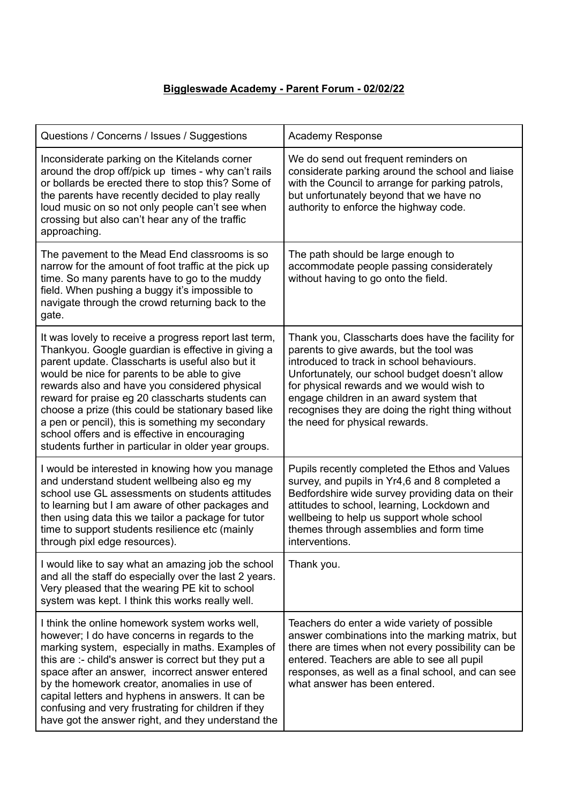## **Biggleswade Academy - Parent Forum - 02/02/22**

| Questions / Concerns / Issues / Suggestions                                                                                                                                                                                                                                                                                                                                                                                                                                                                                              | <b>Academy Response</b>                                                                                                                                                                                                                                                                                                                                                     |
|------------------------------------------------------------------------------------------------------------------------------------------------------------------------------------------------------------------------------------------------------------------------------------------------------------------------------------------------------------------------------------------------------------------------------------------------------------------------------------------------------------------------------------------|-----------------------------------------------------------------------------------------------------------------------------------------------------------------------------------------------------------------------------------------------------------------------------------------------------------------------------------------------------------------------------|
| Inconsiderate parking on the Kitelands corner<br>around the drop off/pick up times - why can't rails<br>or bollards be erected there to stop this? Some of<br>the parents have recently decided to play really<br>loud music on so not only people can't see when<br>crossing but also can't hear any of the traffic<br>approaching.                                                                                                                                                                                                     | We do send out frequent reminders on<br>considerate parking around the school and liaise<br>with the Council to arrange for parking patrols,<br>but unfortunately beyond that we have no<br>authority to enforce the highway code.                                                                                                                                          |
| The pavement to the Mead End classrooms is so<br>narrow for the amount of foot traffic at the pick up<br>time. So many parents have to go to the muddy<br>field. When pushing a buggy it's impossible to<br>navigate through the crowd returning back to the<br>gate.                                                                                                                                                                                                                                                                    | The path should be large enough to<br>accommodate people passing considerately<br>without having to go onto the field.                                                                                                                                                                                                                                                      |
| It was lovely to receive a progress report last term,<br>Thankyou. Google guardian is effective in giving a<br>parent update. Classcharts is useful also but it<br>would be nice for parents to be able to give<br>rewards also and have you considered physical<br>reward for praise eg 20 classcharts students can<br>choose a prize (this could be stationary based like<br>a pen or pencil), this is something my secondary<br>school offers and is effective in encouraging<br>students further in particular in older year groups. | Thank you, Classcharts does have the facility for<br>parents to give awards, but the tool was<br>introduced to track in school behaviours.<br>Unfortunately, our school budget doesn't allow<br>for physical rewards and we would wish to<br>engage children in an award system that<br>recognises they are doing the right thing without<br>the need for physical rewards. |
| I would be interested in knowing how you manage<br>and understand student wellbeing also eg my<br>school use GL assessments on students attitudes<br>to learning but I am aware of other packages and<br>then using data this we tailor a package for tutor<br>time to support students resilience etc (mainly<br>through pixl edge resources).                                                                                                                                                                                          | Pupils recently completed the Ethos and Values<br>survey, and pupils in Yr4,6 and 8 completed a<br>Bedfordshire wide survey providing data on their<br>attitudes to school, learning, Lockdown and<br>wellbeing to help us support whole school<br>themes through assemblies and form time<br>interventions.                                                                |
| I would like to say what an amazing job the school<br>and all the staff do especially over the last 2 years.<br>Very pleased that the wearing PE kit to school<br>system was kept. I think this works really well.                                                                                                                                                                                                                                                                                                                       | Thank you.                                                                                                                                                                                                                                                                                                                                                                  |
| I think the online homework system works well,<br>however; I do have concerns in regards to the<br>marking system, especially in maths. Examples of<br>this are :- child's answer is correct but they put a<br>space after an answer, incorrect answer entered<br>by the homework creator, anomalies in use of<br>capital letters and hyphens in answers. It can be<br>confusing and very frustrating for children if they<br>have got the answer right, and they understand the                                                         | Teachers do enter a wide variety of possible<br>answer combinations into the marking matrix, but<br>there are times when not every possibility can be<br>entered. Teachers are able to see all pupil<br>responses, as well as a final school, and can see<br>what answer has been entered.                                                                                  |